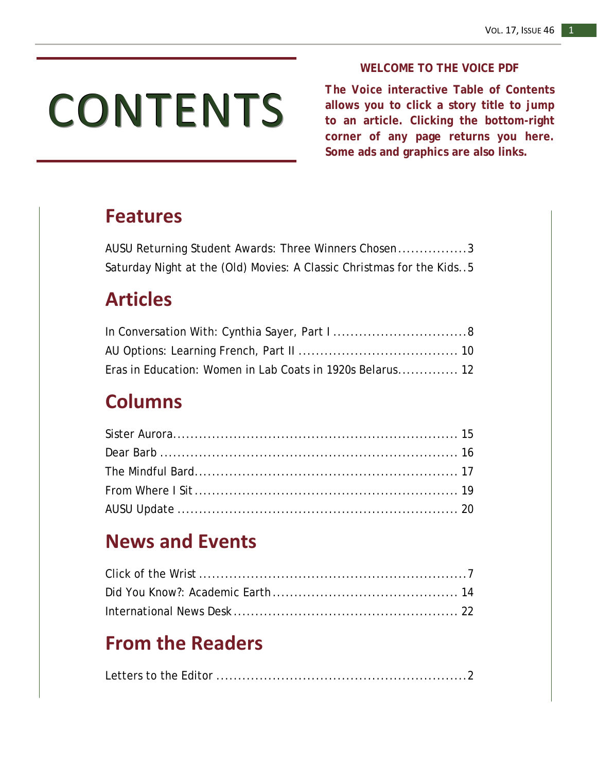# CONTENTS

#### **WELCOME TO THE VOICE PDF**

*The Voice* **interactive Table of Contents allows you to click a story title to jump to an article. Clicking the bottom-right corner of any page returns you here. Some ads and graphics are also links.**

## **Features**

| AUSU Returning Student Awards: Three Winners Chosen3                  |
|-----------------------------------------------------------------------|
| Saturday Night at the (Old) Movies: A Classic Christmas for the Kids5 |

## **Articles**

| Eras in Education: Women in Lab Coats in 1920s Belarus 12 |  |
|-----------------------------------------------------------|--|

## **Columns**

## **News and Events**

## **From the Readers**

|--|--|--|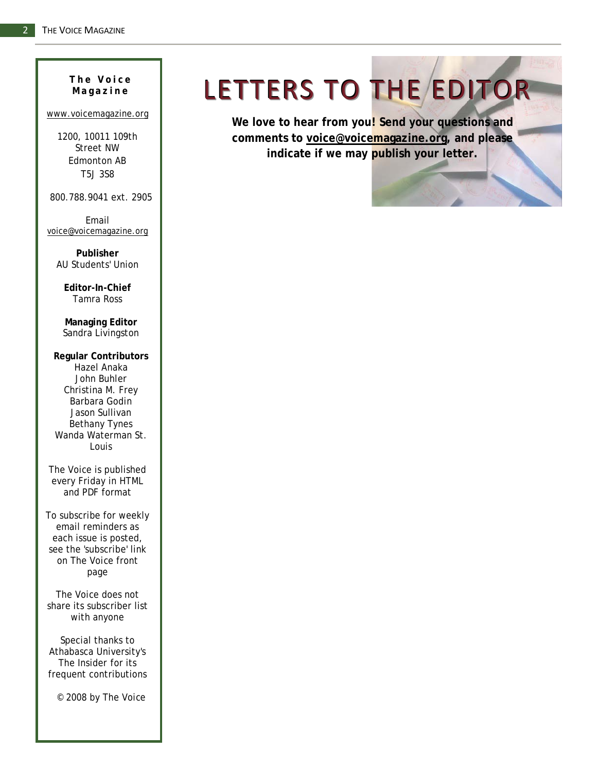# **Magazine**

#### [www.voicemagazine.org](http://www.voicemagazine.org/)

1200, 10011 109th Street NW Edmonton AB T5J 3S8

800.788.9041 ext. 2905

Email [voice@voicemagazine.org](mailto:voice@voicemagazine.org)

**Publisher**  AU Students' Union

**Editor-In-Chief** Tamra Ross

**Managing Editor** Sandra Livingston

**Regular Contributors** Hazel Anaka John Buhler Christina M. Frey Barbara Godin Jason Sullivan Bethany Tynes Wanda Waterman St. Louis

*The Voice* is published every Friday in HTML and PDF format

To subscribe for weekly email reminders as each issue is posted, see the 'subscribe' link on *The Voice* front page

*The Voice* does not share its subscriber list with anyone

Special thanks to Athabasca University's *The Insider* for its frequent contributions

© 2008 by *The Voice*

# The Voice | LETTERS TO THE EDITOR

**We love to hear from you! Send your questions and comments to [voice@voicemagazine.org,](mailto:voice@voicemagazine.org) and please indicate if we may publish your letter.**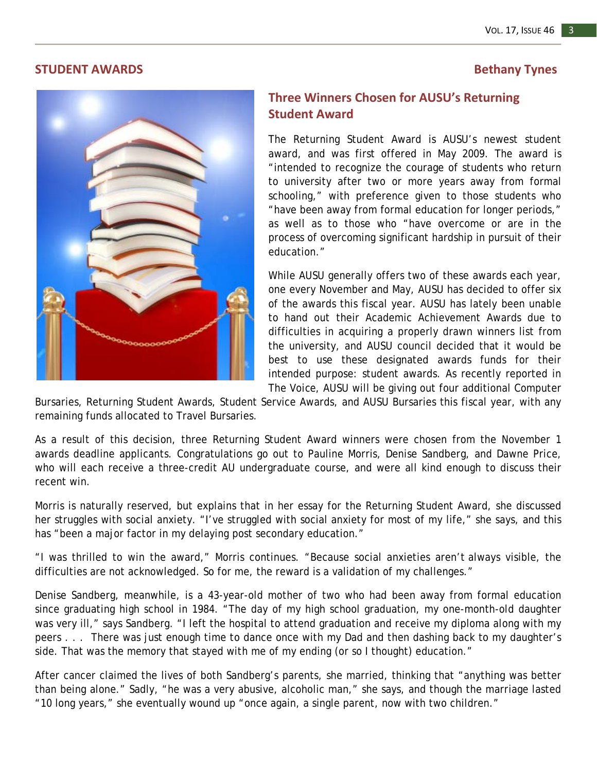#### **STUDENT AWARDS Bethany Tynes**



### **Three Winners Chosen for AUSU's Returning Student Award**

The Returning Student Award is AUSU's newest student award, and was first offered in May 2009. The award is "intended to recognize the courage of students who return to university after two or more years away from formal schooling," with preference given to those students who "have been away from formal education for longer periods," as well as to those who "have overcome or are in the process of overcoming significant hardship in pursuit of their education."

While AUSU generally offers two of these awards each year, one every November and May, AUSU has decided to offer six of the awards this fiscal year. AUSU has lately been unable to hand out their Academic Achievement Awards due to difficulties in acquiring a properly drawn winners list from the university, and AUSU council decided that it would be best to use these designated awards funds for their intended purpose: student awards. As recently reported in *The Voice,* AUSU will be giving out four additional Computer

Bursaries, Returning Student Awards, Student Service Awards, and AUSU Bursaries this fiscal year, with any remaining funds allocated to Travel Bursaries.

As a result of this decision, three Returning Student Award winners were chosen from the November 1 awards deadline applicants. Congratulations go out to Pauline Morris, Denise Sandberg, and Dawne Price, who will each receive a three-credit AU undergraduate course, and were all kind enough to discuss their recent win.

Morris is naturally reserved, but explains that in her essay for the Returning Student Award, she discussed her struggles with social anxiety. "I've struggled with social anxiety for most of my life," she says, and this has "been a major factor in my delaying post secondary education."

"I was thrilled to win the award," Morris continues. "Because social anxieties aren't always visible, the difficulties are not acknowledged. So for me, the reward is a validation of my challenges."

Denise Sandberg, meanwhile, is a 43-year-old mother of two who had been away from formal education since graduating high school in 1984. "The day of my high school graduation, my one-month-old daughter was very ill," says Sandberg. "I left the hospital to attend graduation and receive my diploma along with my peers . . . There was just enough time to dance once with my Dad and then dashing back to my daughter's side. That was the memory that stayed with me of my ending (or so I thought) education."

After cancer claimed the lives of both Sandberg's parents, she married, thinking that "anything was better than being alone." Sadly, "he was a very abusive, alcoholic man," she says, and though the marriage lasted "10 long years," she eventually wound up "once again, a single parent, now with two children."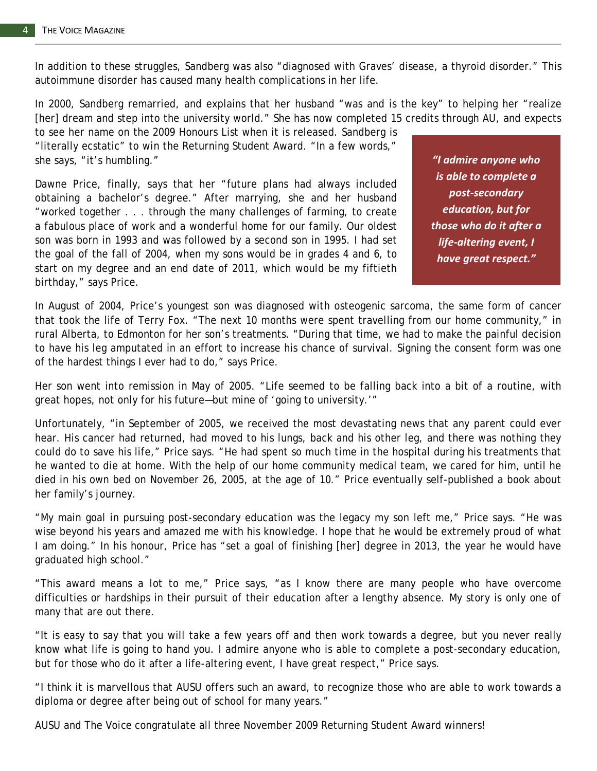In addition to these struggles, Sandberg was also "diagnosed with Graves' disease, a thyroid disorder." This autoimmune disorder has caused many health complications in her life.

In 2000, Sandberg remarried, and explains that her husband "was and is the key" to helping her "realize [her] dream and step into the university world." She has now completed 15 credits through AU, and expects

to see her name on the 2009 Honours List when it is released. Sandberg is "literally ecstatic" to win the Returning Student Award. "In a few words," she says, "it's humbling."

Dawne Price, finally, says that her "future plans had always included obtaining a bachelor's degree." After marrying, she and her husband "worked together . . . through the many challenges of farming, to create a fabulous place of work and a wonderful home for our family. Our oldest son was born in 1993 and was followed by a second son in 1995. I had set the goal of the fall of 2004, when my sons would be in grades 4 and 6, to start on my degree and an end date of 2011, which would be my fiftieth birthday," says Price.

*"I admire anyone who is able to complete a post-secondary education, but for those who do it after a life-altering event, I have great respect."*

In August of 2004, Price's youngest son was diagnosed with osteogenic sarcoma, the same form of cancer that took the life of Terry Fox. "The next 10 months were spent travelling from our home community," in rural Alberta, to Edmonton for her son's treatments. "During that time, we had to make the painful decision to have his leg amputated in an effort to increase his chance of survival. Signing the consent form was one of the hardest things I ever had to do," says Price.

Her son went into remission in May of 2005. "Life seemed to be falling back into a bit of a routine, with great hopes, not only for his future—but mine of 'going to university.'"

Unfortunately, "in September of 2005, we received the most devastating news that any parent could ever hear. His cancer had returned, had moved to his lungs, back and his other leg, and there was nothing they could do to save his life," Price says. "He had spent so much time in the hospital during his treatments that he wanted to die at home. With the help of our home community medical team, we cared for him, until he died in his own bed on November 26, 2005, at the age of 10." Price eventually self-published a book about her family's journey.

"My main goal in pursuing post-secondary education was the legacy my son left me," Price says. "He was wise beyond his years and amazed me with his knowledge. I hope that he would be extremely proud of what I am doing." In his honour, Price has "set a goal of finishing [her] degree in 2013, the year he would have graduated high school."

"This award means a lot to me," Price says, "as I know there are many people who have overcome difficulties or hardships in their pursuit of their education after a lengthy absence. My story is only one of many that are out there.

"It is easy to say that you will take a few years off and then work towards a degree, but you never really know what life is going to hand you. I admire anyone who is able to complete a post-secondary education, but for those who do it after a life-altering event, I have great respect," Price says.

"I think it is marvellous that AUSU offers such an award, to recognize those who are able to work towards a diploma or degree after being out of school for many years."

AUSU and *The Voice* congratulate all three November 2009 Returning Student Award winners!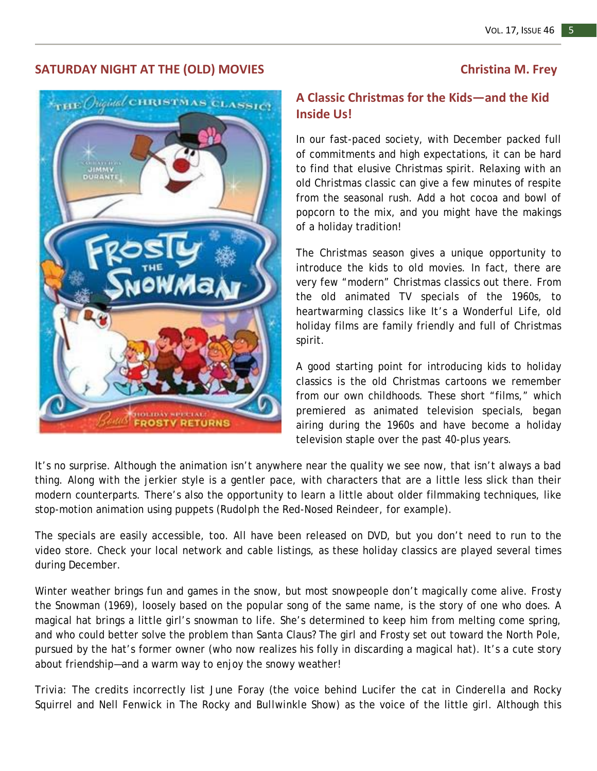#### **SATURDAY NIGHT AT THE (OLD) MOVIES Christina M. Frey**



### **A Classic Christmas for the Kids—and the Kid Inside Us!**

In our fast-paced society, with December packed full of commitments and high expectations, it can be hard to find that elusive Christmas spirit. Relaxing with an old Christmas classic can give a few minutes of respite from the seasonal rush. Add a hot cocoa and bowl of popcorn to the mix, and you might have the makings of a holiday tradition!

The Christmas season gives a unique opportunity to introduce the kids to old movies. In fact, there are very few "modern" Christmas classics out there. From the old animated TV specials of the 1960s, to heartwarming classics like *It's a Wonderful Life*, old holiday films are family friendly and full of Christmas spirit.

A good starting point for introducing kids to holiday classics is the old Christmas cartoons we remember from our own childhoods. These short "films," which premiered as animated television specials, began airing during the 1960s and have become a holiday television staple over the past 40-plus years.

It's no surprise. Although the animation isn't anywhere near the quality we see now, that isn't always a bad thing. Along with the jerkier style is a gentler pace, with characters that are a little less slick than their modern counterparts. There's also the opportunity to learn a little about older filmmaking techniques, like stop-motion animation using puppets (*Rudolph the Red-Nosed Reindeer*, for example).

The specials are easily accessible, too. All have been released on DVD, but you don't need to run to the video store. Check your local network and cable listings, as these holiday classics are played several times during December.

Winter weather brings fun and games in the snow, but most snowpeople don't magically come alive. *Frosty the Snowman* (1969), loosely based on the popular song of the same name, is the story of one who does. A magical hat brings a little girl's snowman to life. She's determined to keep him from melting come spring, and who could better solve the problem than Santa Claus? The girl and Frosty set out toward the North Pole, pursued by the hat's former owner (who now realizes his folly in discarding a magical hat). It's a cute story about friendship—and a warm way to enjoy the snowy weather!

*Trivia:* The credits incorrectly list June Foray (the voice behind Lucifer the cat in *Cinderella* and Rocky Squirrel and Nell Fenwick in *The Rocky and Bullwinkle Show*) as the voice of the little girl. Although this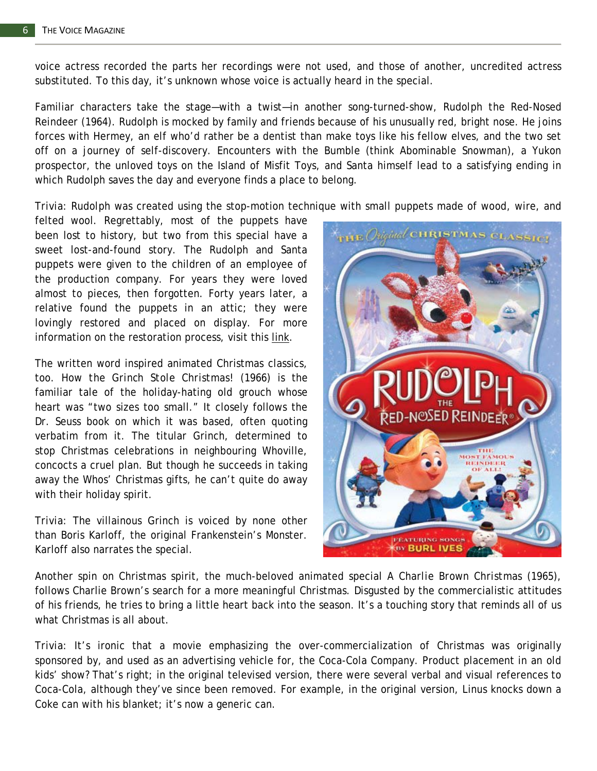voice actress recorded the parts her recordings were not used, and those of another, uncredited actress substituted. To this day, it's unknown whose voice is actually heard in the special.

Familiar characters take the stage—with a twist—in another song-turned-show, *Rudolph the Red-Nosed Reindeer* (1964). Rudolph is mocked by family and friends because of his unusually red, bright nose. He joins forces with Hermey, an elf who'd rather be a dentist than make toys like his fellow elves, and the two set off on a journey of self-discovery. Encounters with the Bumble (think Abominable Snowman), a Yukon prospector, the unloved toys on the Island of Misfit Toys, and Santa himself lead to a satisfying ending in which Rudolph saves the day and everyone finds a place to belong.

*Trivia: Rudolph* was created using the stop-motion technique with small puppets made of wood, wire, and

felted wool. Regrettably, most of the puppets have been lost to history, but two from this special have a sweet lost-and-found story. The Rudolph and Santa puppets were given to the children of an employee of the production company. For years they were loved almost to pieces, then forgotten. Forty years later, a relative found the puppets in an attic; they were lovingly restored and placed on display. For more information on the restoration process, visit this [link.](http://timespacetoys.stores.yahoo.net/reruorrarusa.html)

The written word inspired animated Christmas classics, too. *How the Grinch Stole Christmas!* (1966) is the familiar tale of the holiday-hating old grouch whose heart was "two sizes too small." It closely follows the Dr. Seuss book on which it was based, often quoting verbatim from it. The titular Grinch, determined to stop Christmas celebrations in neighbouring Whoville, concocts a cruel plan. But though he succeeds in taking away the Whos' Christmas gifts, he can't quite do away with their holiday spirit.

*Trivia:* The villainous Grinch is voiced by none other than Boris Karloff, the original Frankenstein's Monster. Karloff also narrates the special.



Another spin on Christmas spirit, the much-beloved animated special *A Charlie Brown Christmas* (1965), follows Charlie Brown's search for a more meaningful Christmas. Disgusted by the commercialistic attitudes of his friends, he tries to bring a little heart back into the season. It's a touching story that reminds all of us what Christmas is all about.

*Trivia:* It's ironic that a movie emphasizing the over-commercialization of Christmas was originally sponsored by, and used as an advertising vehicle for, the Coca-Cola Company. Product placement in an old kids' show? That's right; in the original televised version, there were several verbal and visual references to Coca-Cola, although they've since been removed. For example, in the original version, Linus knocks down a Coke can with his blanket; it's now a generic can.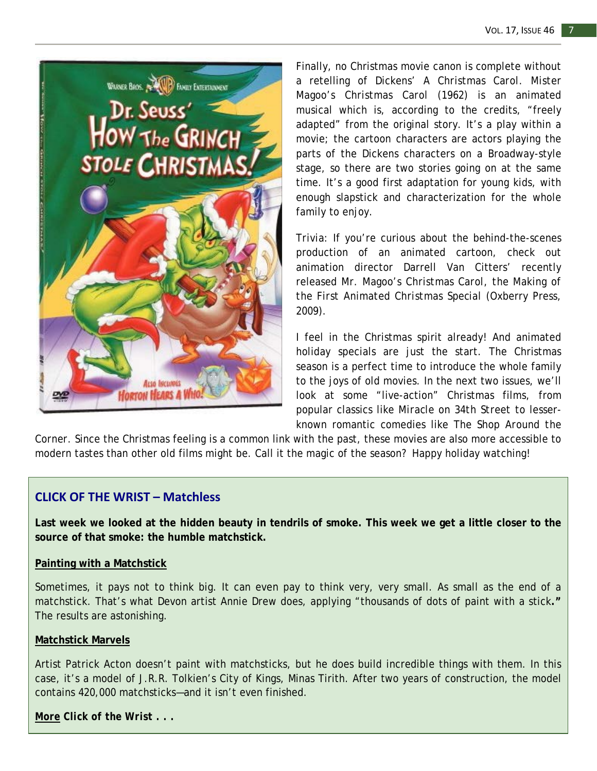

Finally, no Christmas movie canon is complete without a retelling of Dickens' *A Christmas Carol*. *Mister Magoo's Christmas Carol* (1962) is an animated musical which is, according to the credits, "freely adapted" from the original story. It's a play within a movie; the cartoon characters are actors playing the parts of the Dickens characters on a Broadway-style stage, so there are two stories going on at the same time. It's a good first adaptation for young kids, with enough slapstick and characterization for the whole family to enjoy.

*Trivia:* If you're curious about the behind-the-scenes production of an animated cartoon, check out animation director Darrell Van Citters' recently released *Mr. Magoo's Christmas Carol, the Making of the First Animated Christmas Special* (Oxberry Press, 2009).

I feel in the Christmas spirit already! And animated holiday specials are just the start. The Christmas season is a perfect time to introduce the whole family to the joys of old movies. In the next two issues, we'll look at some "live-action" Christmas films, from popular classics like *Miracle on 34th Street* to lesserknown romantic comedies like *The Shop Around the* 

*Corner*. Since the Christmas feeling is a common link with the past, these movies are also more accessible to modern tastes than other old films might be. Call it the magic of the season? Happy holiday watching!

#### **CLICK OF THE WRIST – Matchless**

**Last week we looked at the hidden beauty in tendrils of smoke. This week we get a little closer to the source of that smoke: the humble matchstick.** 

#### **[Painting with a Matchstick](http://www.telegraph.co.uk/culture/culturepicturegalleries/6638036/Painting-with-a-matchstick-artist-Annie-Drew-applies-thousands-of-dots-of-paint-with-a-stick.html)**

Sometimes, it pays not to think big. It can even pay to think very, very small. As small as the end of a matchstick. That's what Devon artist Annie Drew does, applying "thousands of dots of paint with a stick**."**  The results are astonishing.

#### **[Matchstick Marvels](http://www.matchstickmarvels.com/Comingin2009.htm)**

Artist Patrick Acton doesn't paint with matchsticks, but he does build incredible things with them. In this case, it's a model of J.R.R. Tolkien's City of Kings, Minas Tirith. After two years of construction, the model contains 420,000 matchsticks—and it isn't even finished.

*More Click of the Wrist . . .*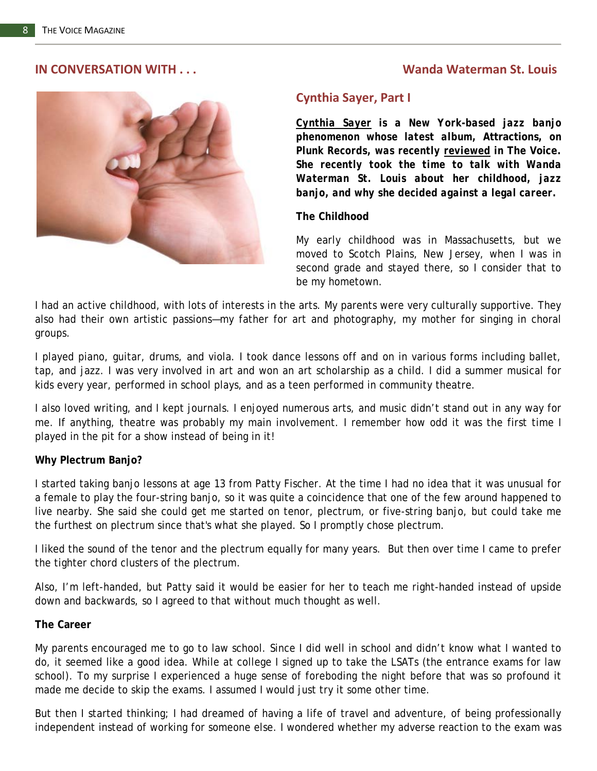#### **IN CONVERSATION WITH . . . Wanda Waterman St. Louis**



#### **Cynthia Sayer, Part I**

*[Cynthia Sayer](http://www.cynthiasayer.com/) is a New York-based jazz banjo phenomenon whose latest album,* **Attractions,** *on Plunk Records, was recently [reviewed](http://www.voicemagazine.org/search/searchdisplay.php?ART=6991) in* **The Voice.** *She recently took the time to talk with Wanda Waterman St. Louis about her childhood, jazz banjo, and why she decided against a legal career.*

#### **The Childhood**

My early childhood was in Massachusetts, but we moved to Scotch Plains, New Jersey, when I was in second grade and stayed there, so I consider that to be my hometown.

I had an active childhood, with lots of interests in the arts. My parents were very culturally supportive. They also had their own artistic passions—my father for art and photography, my mother for singing in choral groups.

I played piano, guitar, drums, and viola. I took dance lessons off and on in various forms including ballet, tap, and jazz. I was very involved in art and won an art scholarship as a child. I did a summer musical for kids every year, performed in school plays, and as a teen performed in community theatre.

I also loved writing, and I kept journals. I enjoyed numerous arts, and music didn't stand out in any way for me. If anything, theatre was probably my main involvement. I remember how odd it was the first time I played in the pit for a show instead of being in it!

#### **Why Plectrum Banjo?**

I started taking banjo lessons at age 13 from Patty Fischer. At the time I had no idea that it was unusual for a female to play the four-string banjo, so it was quite a coincidence that one of the few around happened to live nearby. She said she could get me started on tenor, plectrum, or five-string banjo, but could take me the furthest on plectrum since that's what she played. So I promptly chose plectrum.

I liked the sound of the tenor and the plectrum equally for many years. But then over time I came to prefer the tighter chord clusters of the plectrum.

Also, I'm left-handed, but Patty said it would be easier for her to teach me right-handed instead of upside down and backwards, so I agreed to that without much thought as well.

#### **The Career**

My parents encouraged me to go to law school. Since I did well in school and didn't know what I wanted to do, it seemed like a good idea. While at college I signed up to take the LSATs (the entrance exams for law school). To my surprise I experienced a huge sense of foreboding the night before that was so profound it made me decide to skip the exams. I assumed I would just try it some other time.

But then I started thinking; I had dreamed of having a life of travel and adventure, of being professionally independent instead of working for someone else. I wondered whether my adverse reaction to the exam was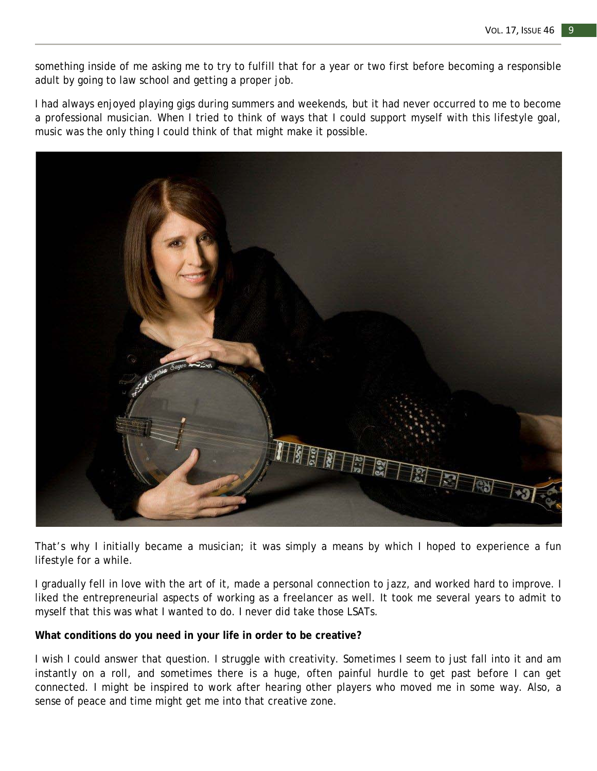something inside of me asking me to try to fulfill that for a year or two first before becoming a responsible adult by going to law school and getting a proper job.

I had always enjoyed playing gigs during summers and weekends, but it had never occurred to me to become a professional musician. When I tried to think of ways that I could support myself with this lifestyle goal, music was the only thing I could think of that might make it possible.



That's why I initially became a musician; it was simply a means by which I hoped to experience a fun lifestyle for a while.

I gradually fell in love with the art of it, made a personal connection to jazz, and worked hard to improve. I liked the entrepreneurial aspects of working as a freelancer as well. It took me several years to admit to myself that this was what I wanted to do. I never did take those LSATs.

#### **What conditions do you need in your life in order to be creative?**

I wish I could answer that question. I struggle with creativity. Sometimes I seem to just fall into it and am instantly on a roll, and sometimes there is a huge, often painful hurdle to get past before I can get connected. I might be inspired to work after hearing other players who moved me in some way. Also, a sense of peace and time might get me into that creative zone.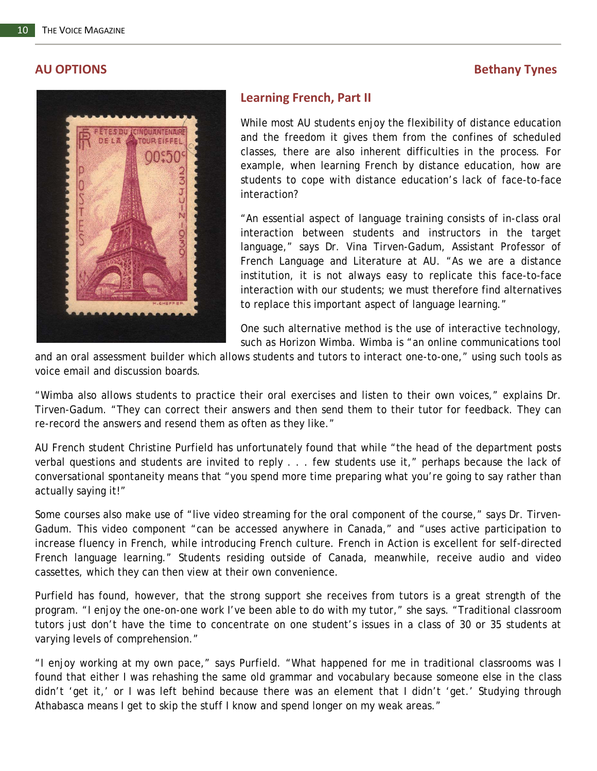#### **AU OPTIONS Bethany Tynes**



#### **Learning French, Part II**

While most AU students enjoy the flexibility of distance education and the freedom it gives them from the confines of scheduled classes, there are also inherent difficulties in the process. For example, when learning French by distance education, how are students to cope with distance education's lack of face-to-face interaction?

"An essential aspect of language training consists of in-class oral interaction between students and instructors in the target language," says Dr. Vina Tirven-Gadum, Assistant Professor of French Language and Literature at AU. "As we are a distance institution, it is not always easy to replicate this face-to-face interaction with our students; we must therefore find alternatives to replace this important aspect of language learning."

One such alternative method is the use of interactive technology, such as Horizon Wimba. Wimba is "an online communications tool

and an oral assessment builder which allows students and tutors to interact one-to-one," using such tools as voice email and discussion boards.

"Wimba also allows students to practice their oral exercises and listen to their own voices," explains Dr. Tirven-Gadum. "They can correct their answers and then send them to their tutor for feedback. They can re-record the answers and resend them as often as they like."

AU French student Christine Purfield has unfortunately found that while "the head of the department posts verbal questions and students are invited to reply . . . few students use it," perhaps because the lack of conversational spontaneity means that "you spend more time preparing what you're going to say rather than actually saying it!"

Some courses also make use of "live video streaming for the oral component of the course," says Dr. Tirven-Gadum. This video component "can be accessed anywhere in Canada," and "uses active participation to increase fluency in French, while introducing French culture. *French in Action* is excellent for self-directed French language learning." Students residing outside of Canada, meanwhile, receive audio and video cassettes, which they can then view at their own convenience.

Purfield has found, however, that the strong support she receives from tutors is a great strength of the program. "I enjoy the one-on-one work I've been able to do with my tutor," she says. "Traditional classroom tutors just don't have the time to concentrate on one student's issues in a class of 30 or 35 students at varying levels of comprehension."

"I enjoy working at my own pace," says Purfield. "What happened for me in traditional classrooms was I found that either I was rehashing the same old grammar and vocabulary because someone else in the class didn't 'get it,' or I was left behind because there was an element that I didn't 'get.' Studying through Athabasca means I get to skip the stuff I know and spend longer on my weak areas."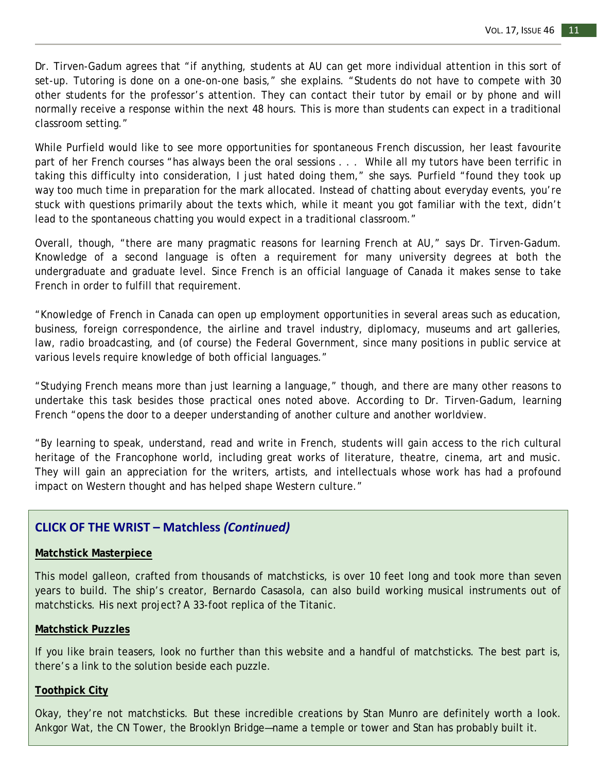Dr. Tirven-Gadum agrees that "if anything, students at AU can get more individual attention in this sort of set-up. Tutoring is done on a one-on-one basis," she explains. "Students do not have to compete with 30 other students for the professor's attention. They can contact their tutor by email or by phone and will normally receive a response within the next 48 hours. This is more than students can expect in a traditional classroom setting."

While Purfield would like to see more opportunities for spontaneous French discussion, her least favourite part of her French courses "has always been the oral sessions . . . While all my tutors have been terrific in taking this difficulty into consideration, I just hated doing them," she says. Purfield "found they took up way too much time in preparation for the mark allocated. Instead of chatting about everyday events, you're stuck with questions primarily about the texts which, while it meant you got familiar with the text, didn't lead to the spontaneous chatting you would expect in a traditional classroom."

Overall, though, "there are many pragmatic reasons for learning French at AU," says Dr. Tirven-Gadum. Knowledge of a second language is often a requirement for many university degrees at both the undergraduate and graduate level. Since French is an official language of Canada it makes sense to take French in order to fulfill that requirement.

"Knowledge of French in Canada can open up employment opportunities in several areas such as education, business, foreign correspondence, the airline and travel industry, diplomacy, museums and art galleries, law, radio broadcasting, and (of course) the Federal Government, since many positions in public service at various levels require knowledge of both official languages."

"Studying French means more than just learning a language," though, and there are many other reasons to undertake this task besides those practical ones noted above. According to Dr. Tirven-Gadum, learning French "opens the door to a deeper understanding of another culture and another worldview.

"By learning to speak, understand, read and write in French, students will gain access to the rich cultural heritage of the Francophone world, including great works of literature, theatre, cinema, art and music. They will gain an appreciation for the writers, artists, and intellectuals whose work has had a profound impact on Western thought and has helped shape Western culture."

#### **CLICK OF THE WRIST – Matchless** *(Continued)*

#### **[Matchstick Masterpiece](http://www.youtube.com/watch?v=fTutiT1UEzE)**

This model galleon, crafted from thousands of matchsticks, is over 10 feet long and took more than seven years to build. The ship's creator, Bernardo Casasola, can also build working musical instruments out of matchsticks. His next project? A 33-foot replica of the Titanic.

#### **[Matchstick Puzzles](http://www.learning-tree.org.uk/stickpuzzles/stick_puzzles.htm)**

If you like brain teasers, look no further than this website and a handful of matchsticks. The best part is, there's a link to the solution beside each puzzle.

#### **[Toothpick City](http://www.toothpickcity.com/)**

Okay, they're not matchsticks. But these incredible creations by Stan Munro are definitely worth a look. Ankgor Wat, the CN Tower, the Brooklyn Bridge—name a temple or tower and Stan has probably built it.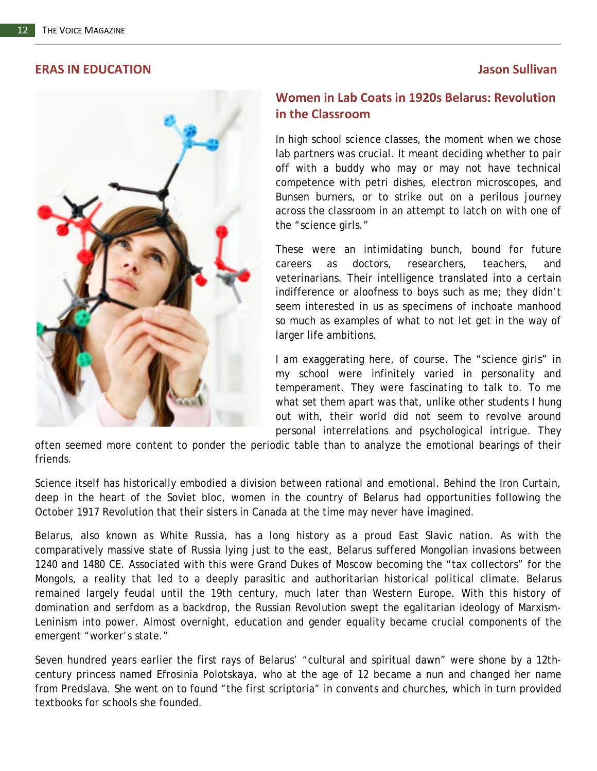#### **ERAS IN EDUCATION Jason Sullivan**



#### **Women in Lab Coats in 1920s Belarus: Revolution in the Classroom**

In high school science classes, the moment when we chose lab partners was crucial. It meant deciding whether to pair off with a buddy who may or may not have technical competence with petri dishes, electron microscopes, and Bunsen burners, or to strike out on a perilous journey across the classroom in an attempt to latch on with one of the "science girls."

These were an intimidating bunch, bound for future careers as doctors, researchers, teachers, and veterinarians. Their intelligence translated into a certain indifference or aloofness to boys such as me; they didn't seem interested in us as specimens of inchoate manhood so much as examples of what to not let get in the way of larger life ambitions.

I am exaggerating here, of course. The "science girls" in my school were infinitely varied in personality and temperament. They were fascinating to talk to. To me what set them apart was that, unlike other students I hung out with, their world did not seem to revolve around personal interrelations and psychological intrigue. They

often seemed more content to ponder the periodic table than to analyze the emotional bearings of their friends.

Science itself has historically embodied a division between rational and emotional. Behind the Iron Curtain, deep in the heart of the Soviet bloc, women in the country of Belarus had opportunities following the October 1917 Revolution that their sisters in Canada at the time may never have imagined.

Belarus, also known as White Russia, has a long history as a proud East Slavic nation. As with the comparatively massive state of Russia lying just to the east, Belarus suffered Mongolian invasions between 1240 and 1480 CE. Associated with this were Grand Dukes of Moscow becoming the "tax collectors" for the Mongols, a reality that led to a deeply parasitic and authoritarian historical political climate. Belarus remained largely feudal until the 19th century, much later than Western Europe. With this history of domination and serfdom as a backdrop, the Russian Revolution swept the egalitarian ideology of Marxism-Leninism into power. Almost overnight, education and gender equality became crucial components of the emergent "worker's state."

Seven hundred years earlier the first rays of Belarus' "cultural and spiritual dawn" were shone by a 12thcentury princess named Efrosinia Polotskaya, who at the age of 12 became a nun and changed her name from Predslava. She went on to found "the first scriptoria" in convents and churches, which in turn provided textbooks for schools she founded.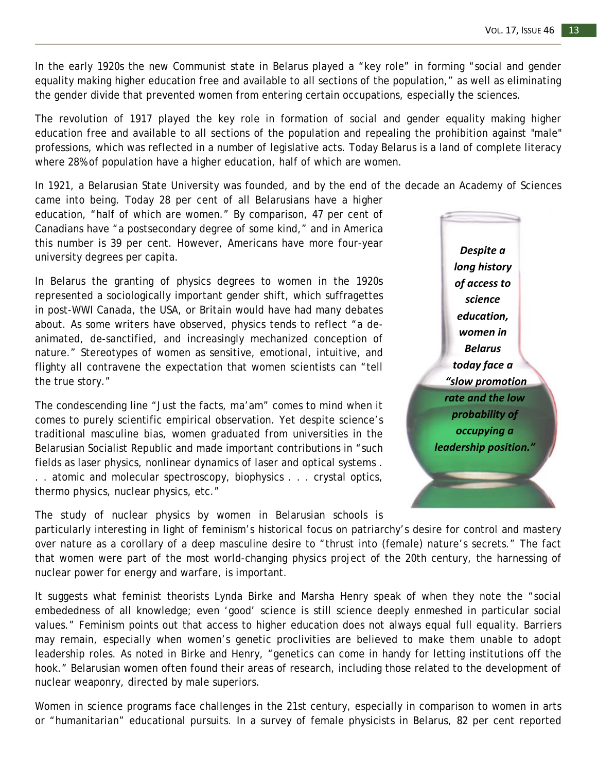In the early 1920s the new Communist state in Belarus played a "key role" in forming "social and gender equality making higher education free and available to all sections of the population," as well as eliminating the gender divide that prevented women from entering certain occupations, especially the sciences.

The revolution of 1917 played the key role in formation of social and gender equality making higher education free and available to all sections of the population and repealing the prohibition against "male" professions, which was reflected in a number of legislative acts. Today Belarus is a land of complete literacy where 28% of population have a higher education, half of which are women.

In 1921, a Belarusian State University was founded, and by the end of the decade an Academy of Sciences

came into being. Today 28 per cent of all Belarusians have a higher education, "half of which are women." By comparison, 47 per cent of Canadians have "a postsecondary degree of some kind," and in America this number is 39 per cent. However, Americans have more four-year university degrees per capita.

In Belarus the granting of physics degrees to women in the 1920s represented a sociologically important gender shift, which suffragettes in post-WWI Canada, the USA, or Britain would have had many debates about. As some writers have observed, physics tends to reflect "a deanimated, de-sanctified, and increasingly mechanized conception of nature." Stereotypes of women as sensitive, emotional, intuitive, and flighty all contravene the expectation that women scientists can "tell the true story."

The condescending line "Just the facts, ma'am" comes to mind when it comes to purely scientific empirical observation. Yet despite science's traditional masculine bias, women graduated from universities in the Belarusian Socialist Republic and made important contributions in "such fields as laser physics, nonlinear dynamics of laser and optical systems . . . atomic and molecular spectroscopy, biophysics . . . crystal optics, thermo physics, nuclear physics, etc."

The study of nuclear physics by women in Belarusian schools is

*Despite a long history of access to science education, women in Belarus today face a "slow promotion rate and the low probability of occupying a leadership position."*

particularly interesting in light of feminism's historical focus on patriarchy's desire for control and mastery over nature as a corollary of a deep masculine desire to "thrust into (female) nature's secrets." The fact that women were part of the most world-changing physics project of the 20th century, the harnessing of nuclear power for energy and warfare, is important.

It suggests what feminist theorists Lynda Birke and Marsha Henry speak of when they note the "social embededness of all knowledge; even 'good' science is still science deeply enmeshed in particular social values." Feminism points out that access to higher education does not always equal full equality. Barriers may remain, especially when women's genetic proclivities are believed to make them unable to adopt leadership roles. As noted in Birke and Henry, "genetics can come in handy for letting institutions off the hook." Belarusian women often found their areas of research, including those related to the development of nuclear weaponry, directed by male superiors.

Women in science programs face challenges in the 21st century, especially in comparison to women in arts or "humanitarian" educational pursuits. In a survey of female physicists in Belarus, 82 per cent reported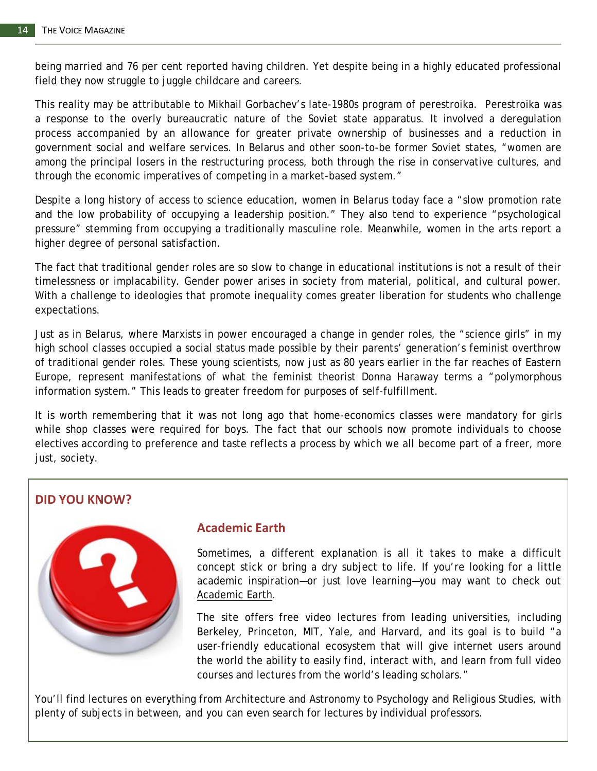being married and 76 per cent reported having children. Yet despite being in a highly educated professional field they now struggle to juggle childcare and careers.

This reality may be attributable to Mikhail Gorbachev's late-1980s program of perestroika. Perestroika was a response to the overly bureaucratic nature of the Soviet state apparatus. It involved a deregulation process accompanied by an allowance for greater private ownership of businesses and a reduction in government social and welfare services. In Belarus and other soon-to-be former Soviet states, "women are among the principal losers in the restructuring process, both through the rise in conservative cultures, and through the economic imperatives of competing in a market-based system."

Despite a long history of access to science education, women in Belarus today face a "slow promotion rate and the low probability of occupying a leadership position." They also tend to experience "psychological pressure" stemming from occupying a traditionally masculine role. Meanwhile, women in the arts report a higher degree of personal satisfaction.

The fact that traditional gender roles are so slow to change in educational institutions is not a result of their timelessness or implacability. Gender power arises in society from material, political, and cultural power. With a challenge to ideologies that promote inequality comes greater liberation for students who challenge expectations.

Just as in Belarus, where Marxists in power encouraged a change in gender roles, the "science girls" in my high school classes occupied a social status made possible by their parents' generation's feminist overthrow of traditional gender roles. These young scientists, now just as 80 years earlier in the far reaches of Eastern Europe, represent manifestations of what the feminist theorist Donna Haraway terms a "polymorphous information system." This leads to greater freedom for purposes of self-fulfillment.

It is worth remembering that it was not long ago that home-economics classes were mandatory for girls while shop classes were required for boys. The fact that our schools now promote individuals to choose electives according to preference and taste reflects a process by which we all become part of a freer, more just, society.

#### **DID YOU KNOW?**



#### **Academic Earth**

Sometimes, a different explanation is all it takes to make a difficult concept stick or bring a dry subject to life. If you're looking for a little academic inspiration—or just love learning—you may want to check out [Academic Earth.](http://academicearth.org/)

The site offers free video lectures from leading universities, including Berkeley, Princeton, MIT, Yale, and Harvard, and its goal is to build "a user-friendly educational ecosystem that will give internet users around the world the ability to easily find, interact with, and learn from full video courses and lectures from the world's leading scholars."

You'll find lectures on everything from Architecture and Astronomy to Psychology and Religious Studies, with plenty of subjects in between, and you can even search for lectures by individual professors.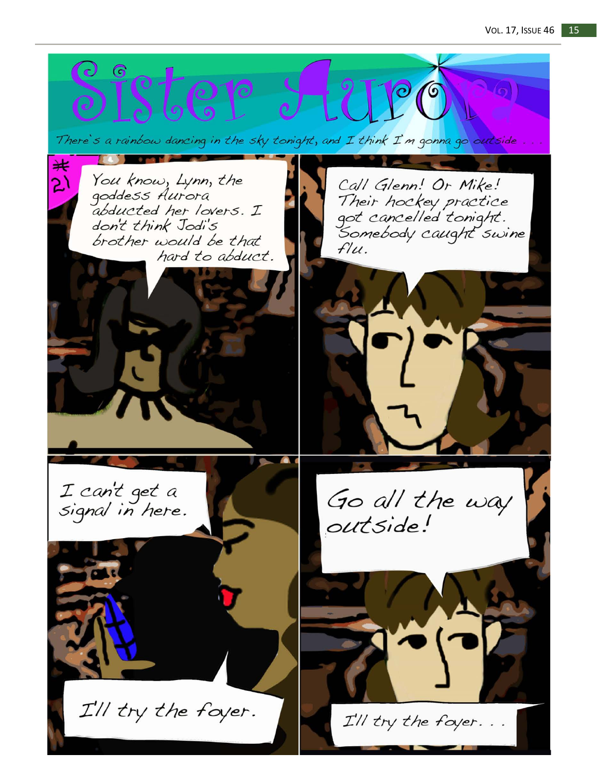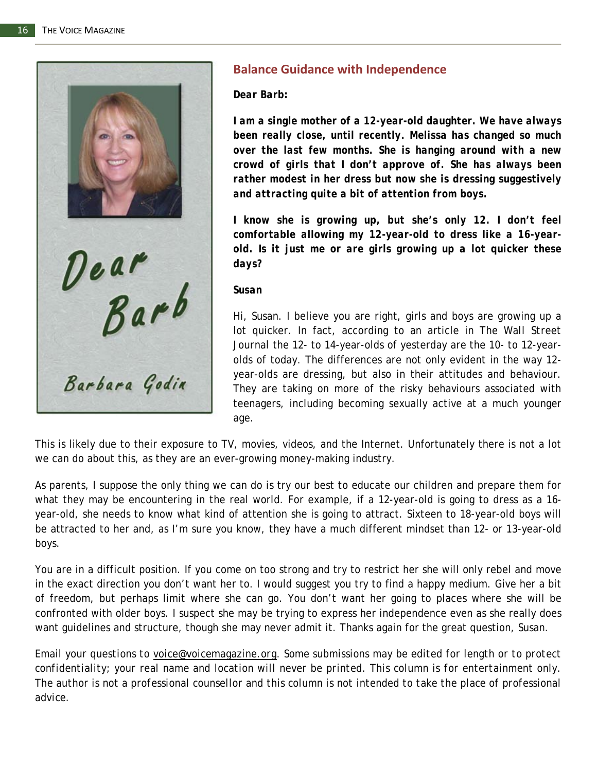

### **Balance Guidance with Independence**

*Dear Barb:*

*I am a single mother of a 12-year-old daughter. We have always been really close, until recently. Melissa has changed so much over the last few months. She is hanging around with a new crowd of girls that I don't approve of. She has always been rather modest in her dress but now she is dressing suggestively and attracting quite a bit of attention from boys.*

*I know she is growing up, but she's only 12. I don't feel comfortable allowing my 12-year-old to dress like a 16-yearold. Is it just me or are girls growing up a lot quicker these days?*

#### *Susan*

Hi, Susan. I believe you are right, girls and boys are growing up a lot quicker. In fact, according to an article in *The Wall Street Journal* the 12- to 14-year-olds of yesterday are the 10- to 12-yearolds of today. The differences are not only evident in the way 12 year-olds are dressing, but also in their attitudes and behaviour. They are taking on more of the risky behaviours associated with teenagers, including becoming sexually active at a much younger age.

This is likely due to their exposure to TV, movies, videos, and the Internet. Unfortunately there is not a lot we can do about this, as they are an ever-growing money-making industry.

As parents, I suppose the only thing we can do is try our best to educate our children and prepare them for what they may be encountering in the real world. For example, if a 12-year-old is going to dress as a 16 year-old, she needs to know what kind of attention she is going to attract. Sixteen to 18-year-old boys will be attracted to her and, as I'm sure you know, they have a much different mindset than 12- or 13-year-old boys.

You are in a difficult position. If you come on too strong and try to restrict her she will only rebel and move in the exact direction you don't want her to. I would suggest you try to find a happy medium. Give her a bit of freedom, but perhaps limit where she can go. You don't want her going to places where she will be confronted with older boys. I suspect she may be trying to express her independence even as she really does want guidelines and structure, though she may never admit it. Thanks again for the great question, Susan.

*Email your questions to voice@voicemagazine.org. Some submissions may be edited for length or to protect confidentiality; your real name and location will never be printed. This column is for entertainment only. The author is not a professional counsellor and this column is not intended to take the place of professional advice.*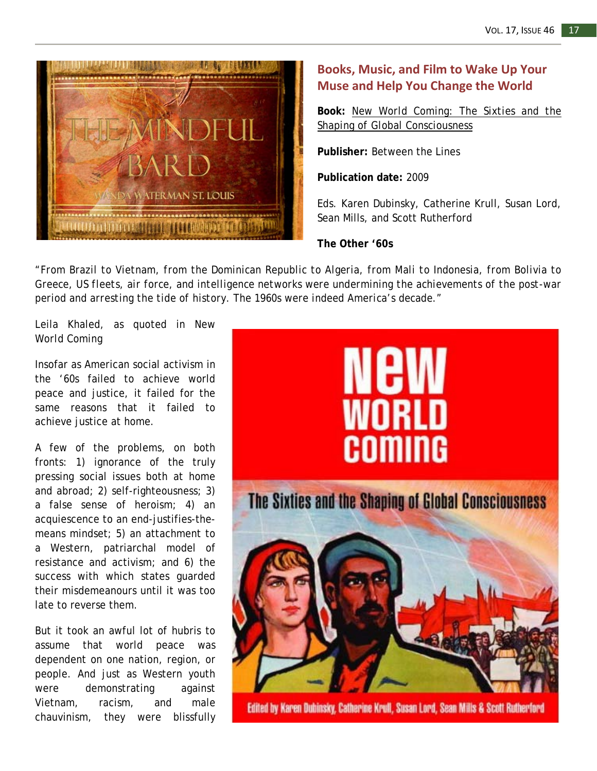

## **Books, Music, and Film to Wake Up Your Muse and Help You Change the World**

**Book:** *[New World Coming: The Sixties and the](http://www.btlbooks.com/bookinfo.php?index=192)  [Shaping of Global Consciousness](http://www.btlbooks.com/bookinfo.php?index=192)*

**Publisher:** Between the Lines

**Publication date:** 2009

Eds. Karen Dubinsky, Catherine Krull, Susan Lord, Sean Mills, and Scott Rutherford

**The Other '60s**

*"From Brazil to Vietnam, from the Dominican Republic to Algeria, from Mali to Indonesia, from Bolivia to Greece, US fleets, air force, and intelligence networks were undermining the achievements of the post-war period and arresting the tide of history. The 1960s were indeed America's decade."*

Leila Khaled, as quoted in *New World Coming*

Insofar as American social activism in the '60s failed to achieve world peace and justice, it failed for the same reasons that it failed to achieve justice at home.

A few of the problems, on both fronts: 1) ignorance of the truly pressing social issues both at home and abroad; 2) self-righteousness; 3) a false sense of heroism; 4) an acquiescence to an end-justifies-themeans mindset; 5) an attachment to a Western, patriarchal model of resistance and activism; and 6) the success with which states guarded their misdemeanours until it was too late to reverse them.

But it took an awful lot of hubris to assume that world peace was dependent on one nation, region, or people. And just as Western youth were demonstrating against Vietnam, racism, and male chauvinism, they were blissfully



Edited by Karen Dubinsky, Catherine Krull, Susan Lord, Sean Mills & Scott Rutherford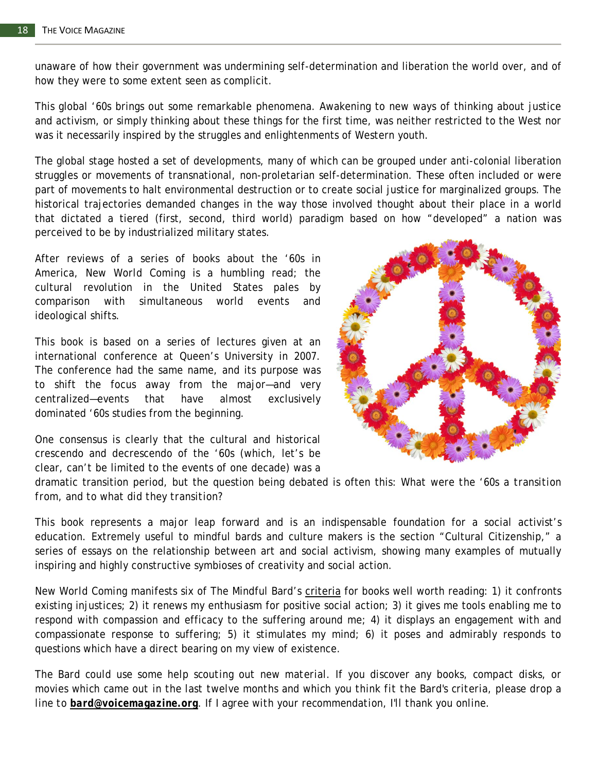unaware of how their government was undermining self-determination and liberation the world over, and of how they were to some extent seen as complicit.

This global '60s brings out some remarkable phenomena. Awakening to new ways of thinking about justice and activism, or simply thinking about these things for the first time, was neither restricted to the West nor was it necessarily inspired by the struggles and enlightenments of Western youth.

The global stage hosted a set of developments, many of which can be grouped under anti-colonial liberation struggles or movements of transnational, non-proletarian self-determination. These often included or were part of movements to halt environmental destruction or to create social justice for marginalized groups. The historical trajectories demanded changes in the way those involved thought about their place in a world that dictated a tiered (first, second, third world) paradigm based on how "developed" a nation was perceived to be by industrialized military states.

After reviews of a series of books about the '60s in America, *New World Coming* is a humbling read; the cultural revolution in the United States pales by comparison with simultaneous world events and ideological shifts.

This book is based on a series of lectures given at an international conference at Queen's University in 2007. The conference had the same name, and its purpose was to shift the focus away from the major—and very centralized—events that have almost exclusively dominated '60s studies from the beginning.



One consensus is clearly that the cultural and historical crescendo and decrescendo of the '60s (which, let's be clear, can't be limited to the events of one decade) was a

dramatic transition period, but the question being debated is often this: *What were the '60s a transition from, and to what did they transition?*

This book represents a major leap forward and is an indispensable foundation for a social activist's education. Extremely useful to mindful bards and culture makers is the section "Cultural Citizenship," a series of essays on the relationship between art and social activism, showing many examples of mutually inspiring and highly constructive symbioses of creativity and social action.

*New World Coming* manifests six of The Mindful Bard's [criteria](http://themindfulbard.wordpress.com/) for books well worth reading: 1) it confronts existing injustices; 2) it renews my enthusiasm for positive social action; 3) it gives me tools enabling me to respond with compassion and efficacy to the suffering around me; 4) it displays an engagement with and compassionate response to suffering; 5) it stimulates my mind; 6) it poses and admirably responds to questions which have a direct bearing on my view of existence.

*The Bard could use some help scouting out new material. If you discover any books, compact disks, or movies which came out in the last twelve months and which you think fit the Bard's criteria, please drop a line to [bard@voicemagazine.org](mailto:bard@voicemagazine.org). If I agree with your recommendation, I'll thank you online.*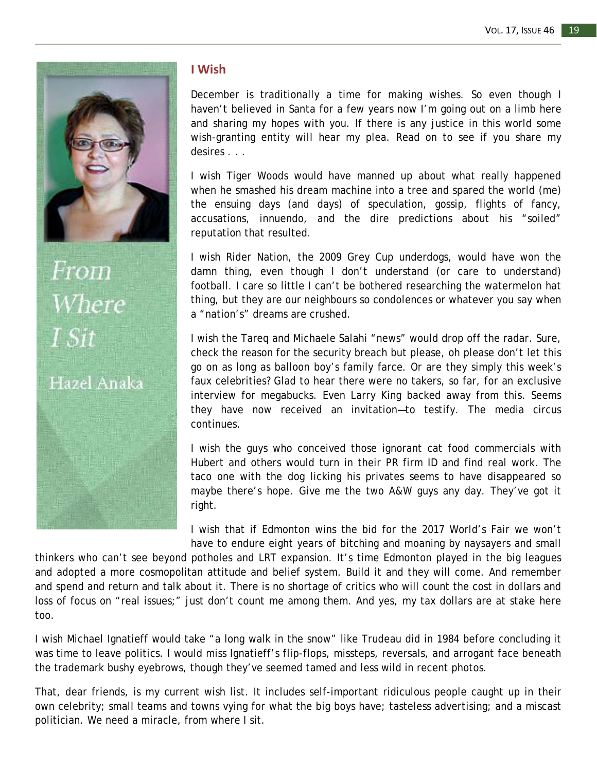

From Where

## Hazel Anaka

#### **I Wish**

December is traditionally a time for making wishes. So even though I haven't believed in Santa for a few years now I'm going out on a limb here and sharing my hopes with you. If there is any justice in this world some wish-granting entity will hear my plea. Read on to see if you share my desires . . .

I wish Tiger Woods would have manned up about what really happened when he smashed his dream machine into a tree and spared the world (me) the ensuing days (and days) of speculation, gossip, flights of fancy, accusations, innuendo, and the dire predictions about his "soiled" reputation that resulted.

I wish Rider Nation, the 2009 Grey Cup underdogs, would have won the damn thing, even though I don't understand (or care to understand) football. I care so little I can't be bothered researching the watermelon hat thing, but they are our neighbours so condolences or whatever you say when a "nation's" dreams are crushed.

I wish the Tareq and Michaele Salahi "news" would drop off the radar. Sure, check the reason for the security breach but please, oh please don't let this go on as long as balloon boy's family farce. Or are they simply this week's faux celebrities? Glad to hear there were no takers, so far, for an exclusive interview for megabucks. Even Larry King backed away from this. Seems they have now received an invitation—to testify. The media circus continues.

I wish the guys who conceived those ignorant cat food commercials with Hubert and others would turn in their PR firm ID and find real work. The taco one with the dog licking his privates seems to have disappeared so maybe there's hope. Give me the two A&W guys any day. They've got it right.

I wish that if Edmonton wins the bid for the 2017 World's Fair we won't have to endure eight years of bitching and moaning by naysayers and small

thinkers who can't see beyond potholes and LRT expansion. It's time Edmonton played in the big leagues and adopted a more cosmopolitan attitude and belief system. Build it and they will come. And remember and spend and return and talk about it. There is no shortage of critics who will count the cost in dollars and loss of focus on "real issues;" just don't count me among them. And yes, my tax dollars are at stake here too.

I wish Michael Ignatieff would take "a long walk in the snow" like Trudeau did in 1984 before concluding it was time to leave politics. I would miss Ignatieff's flip-flops, missteps, reversals, and arrogant face beneath the trademark bushy eyebrows, though they've seemed tamed and less wild in recent photos.

That, dear friends, is my current wish list. It includes self-important ridiculous people caught up in their own celebrity; small teams and towns vying for what the big boys have; tasteless advertising; and a miscast politician. We need a miracle, from where I sit.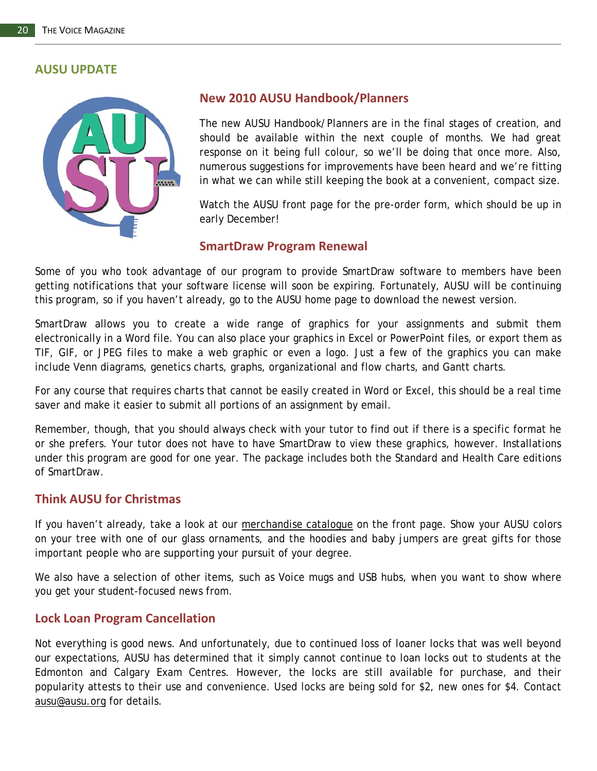#### **AUSU UPDATE**



#### **New 2010 AUSU Handbook/Planners**

The new AUSU Handbook/Planners are in the final stages of creation, and should be available within the next couple of months. We had great response on it being full colour, so we'll be doing that once more. Also, numerous suggestions for improvements have been heard and we're fitting in what we can while still keeping the book at a convenient, compact size.

Watch the AUSU front page for the pre-order form, which should be up in early December!

#### **SmartDraw Program Renewal**

Some of you who took advantage of our program to provide SmartDraw software to members have been getting notifications that your software license will soon be expiring. Fortunately, AUSU will be continuing this program, so if you haven't already, go to the AUSU home page to download the newest version.

SmartDraw allows you to create a wide range of graphics for your assignments and submit them electronically in a Word file. You can also place your graphics in Excel or PowerPoint files, or export them as TIF, GIF, or JPEG files to make a web graphic or even a logo. Just a few of the graphics you can make include Venn diagrams, genetics charts, graphs, organizational and flow charts, and Gantt charts.

For any course that requires charts that cannot be easily created in Word or Excel, this should be a real time saver and make it easier to submit all portions of an assignment by email.

Remember, though, that you should always check with your tutor to find out if there is a specific format he or she prefers. Your tutor does not have to have SmartDraw to view these graphics, however. Installations under this program are good for one year. The package includes both the Standard and Health Care editions of SmartDraw.

#### **Think AUSU for Christmas**

If you haven't already, take a look at our [merchandise catalogue](http://www.ausu.org/downloads/AUSU_Store_Catalogue.pdf) on the front page. Show your AUSU colors on your tree with one of our glass ornaments, and the hoodies and baby jumpers are great gifts for those important people who are supporting your pursuit of your degree.

We also have a selection of other items, such as *Voice* mugs and USB hubs, when you want to show where you get your student-focused news from.

#### **Lock Loan Program Cancellation**

Not everything is good news. And unfortunately, due to continued loss of loaner locks that was well beyond our expectations, AUSU has determined that it simply cannot continue to loan locks out to students at the Edmonton and Calgary Exam Centres. However, the locks are still available for purchase, and their popularity attests to their use and convenience. Used locks are being sold for \$2, new ones for \$4. Contact [ausu@ausu.org](mailto:ausu@ausu.org) for details.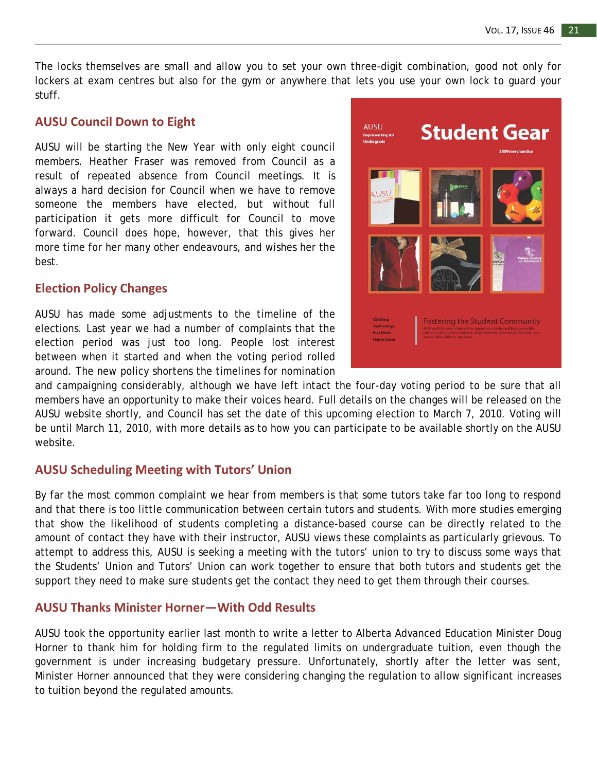The locks themselves are small and allow you to set your own three-digit combination, good not only for lockers at exam centres but also for the gym or anywhere that lets you use your own lock to guard your stuff.

#### **AUSU Council Down to Eight**

AUSU will be starting the New Year with only eight council members. Heather Fraser was removed from Council as a result of repeated absence from Council meetings. It is always a hard decision for Council when we have to remove someone the members have elected, but without full participation it gets more difficult for Council to move forward. Council does hope, however, that this gives her more time for her many other endeavours, and wishes her the best.

#### **Election Policy Changes**

AUSU has made some adjustments to the timeline of the elections. Last year we had a number of complaints that the election period was just too long. People lost interest between when it started and when the voting period rolled around. The new policy shortens the timelines for nomination



and campaigning considerably, although we have left intact the four-day voting period to be sure that all members have an opportunity to make their voices heard. Full details on the changes will be released on the AUSU website shortly, and Council has set the date of this upcoming election to March 7, 2010. Voting will be until March 11, 2010, with more details as to how you can participate to be available shortly on the AUSU website.

#### **AUSU Scheduling Meeting with Tutors' Union**

By far the most common complaint we hear from members is that some tutors take far too long to respond and that there is too little communication between certain tutors and students. With more studies emerging that show the likelihood of students completing a distance-based course can be directly related to the amount of contact they have with their instructor, AUSU views these complaints as particularly grievous. To attempt to address this, AUSU is seeking a meeting with the tutors' union to try to discuss some ways that the Students' Union and Tutors' Union can work together to ensure that both tutors and students get the support they need to make sure students get the contact they need to get them through their courses.

#### **AUSU Thanks Minister Horner—With Odd Results**

AUSU took the opportunity earlier last month to write a letter to Alberta Advanced Education Minister Doug Horner to thank him for holding firm to the regulated limits on undergraduate tuition, even though the government is under increasing budgetary pressure. Unfortunately, shortly after the letter was sent, Minister Horner announced that they were considering changing the regulation to allow significant increases to tuition beyond the regulated amounts.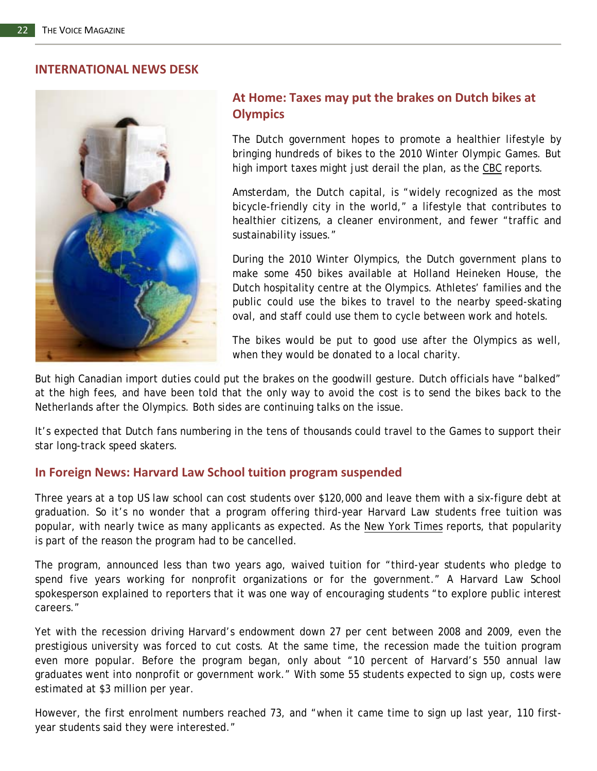#### **INTERNATIONAL NEWS DESK**



### **At Home: Taxes may put the brakes on Dutch bikes at Olympics**

The Dutch government hopes to promote a healthier lifestyle by bringing hundreds of bikes to the 2010 Winter Olympic Games. But high import taxes might just derail the plan, as the [CBC](http://www.ctvolympics.ca/about-vancouver/news/newsid=21207.html#canada+dutch+olympic+bikes?cid=rsstgnm) reports.

Amsterdam, the Dutch capital, is "widely recognized as the most bicycle-friendly city in the world," a lifestyle that contributes to healthier citizens, a cleaner environment, and fewer "traffic and sustainability issues."

During the 2010 Winter Olympics, the Dutch government plans to make some 450 bikes available at Holland Heineken House, the Dutch hospitality centre at the Olympics. Athletes' families and the public could use the bikes to travel to the nearby speed-skating oval, and staff could use them to cycle between work and hotels.

The bikes would be put to good use after the Olympics as well, when they would be donated to a local charity.

But high Canadian import duties could put the brakes on the goodwill gesture. Dutch officials have "balked" at the high fees, and have been told that the only way to avoid the cost is to send the bikes back to the Netherlands after the Olympics. Both sides are continuing talks on the issue.

It's expected that Dutch fans numbering in the tens of thousands could travel to the Games to support their star long-track speed skaters.

#### **In Foreign News: Harvard Law School tuition program suspended**

Three years at a top US law school can cost students over \$120,000 and leave them with a six-figure debt at graduation. So it's no wonder that a program offering third-year Harvard Law students free tuition was popular, with nearly twice as many applicants as expected. As the *[New York Times](http://www.nytimes.com/2009/12/03/education/03harvard.html?ref=us)* reports, that popularity is part of the reason the program had to be cancelled.

The program, announced less than two years ago, waived tuition for "third-year students who pledge to spend five years working for nonprofit organizations or for the government." A Harvard Law School spokesperson explained to reporters that it was one way of encouraging students "to explore public interest careers."

Yet with the recession driving Harvard's endowment down 27 per cent between 2008 and 2009, even the prestigious university was forced to cut costs. At the same time, the recession made the tuition program even more popular. Before the program began, only about "10 percent of Harvard's 550 annual law graduates went into nonprofit or government work." With some 55 students expected to sign up, costs were estimated at \$3 million per year.

However, the first enrolment numbers reached 73, and "when it came time to sign up last year, 110 firstyear students said they were interested."